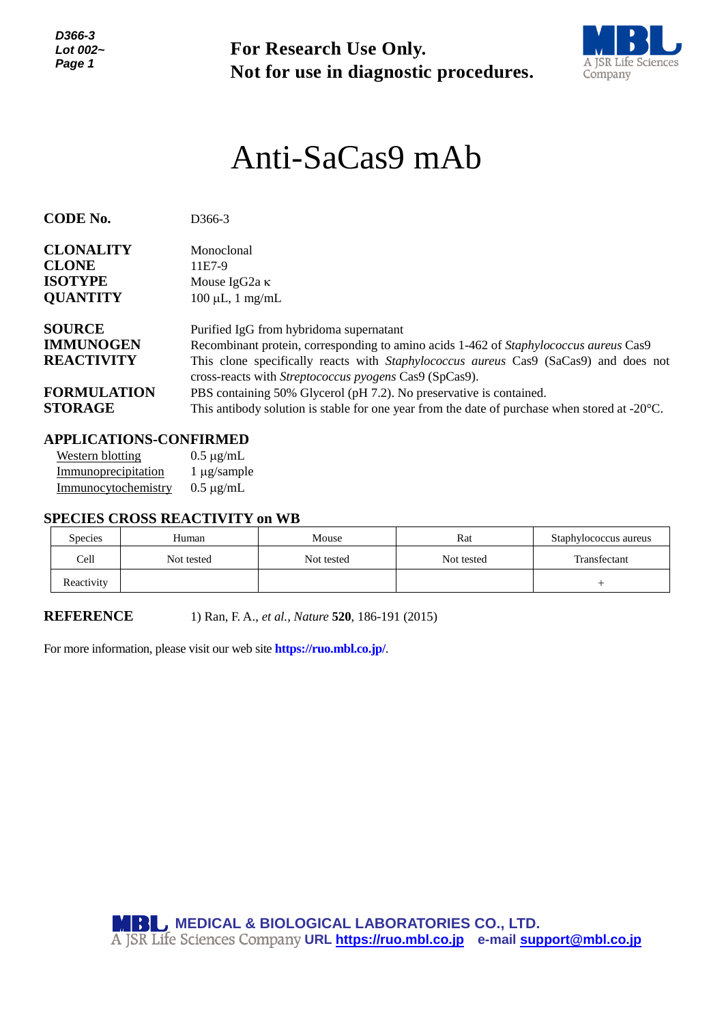*D366-3 Lot 002~ Page 1*

**For Research Use Only. Not for use in diagnostic procedures.**



# *<sup>1</sup>* Anti-SaCas9 mAb

| <b>CODE No.</b>    | D <sub>366</sub> -3                                                                                     |  |  |  |
|--------------------|---------------------------------------------------------------------------------------------------------|--|--|--|
|                    |                                                                                                         |  |  |  |
| <b>CLONALITY</b>   | Monoclonal                                                                                              |  |  |  |
| <b>CLONE</b>       | 11E7-9                                                                                                  |  |  |  |
| <b>ISOTYPE</b>     | Mouse IgG2a $\kappa$                                                                                    |  |  |  |
| <b>QUANTITY</b>    | $100 \mu L$ , 1 mg/mL                                                                                   |  |  |  |
|                    |                                                                                                         |  |  |  |
| <b>SOURCE</b>      | Purified IgG from hybridoma supernatant                                                                 |  |  |  |
| <b>IMMUNOGEN</b>   | Recombinant protein, corresponding to amino acids 1-462 of <i>Staphylococcus aureus</i> Cas9            |  |  |  |
| <b>REACTIVITY</b>  | This clone specifically reacts with <i>Staphylococcus aureus</i> Cas9 (SaCas9) and does not             |  |  |  |
|                    | cross-reacts with Streptococcus pyogens Cas9 (SpCas9).                                                  |  |  |  |
| <b>FORMULATION</b> | PBS containing 50% Glycerol (pH 7.2). No preservative is contained.                                     |  |  |  |
| <b>STORAGE</b>     | This antibody solution is stable for one year from the date of purchase when stored at $-20^{\circ}$ C. |  |  |  |

## **APPLICATIONS-CONFIRMED**

Western blotting  $0.5 \mu g/mL$ Immunoprecipitation 1 µg/sample Immunocytochemistry 0.5 µg/mL

#### **SPECIES CROSS REACTIVITY on WB**

| <b>Species</b> | Human      | Mouse      | Rat        | Staphylococcus aureus |
|----------------|------------|------------|------------|-----------------------|
| Cell           | Not tested | Not tested | Not tested | Transfectant          |
| Reactivity     |            |            |            |                       |

**REFERENCE** 1) Ran, F. A., *et al., Nature* **520**, 186-191 (2015)

For more information, please visit our web site **https://ruo.mbl.co.jp/**.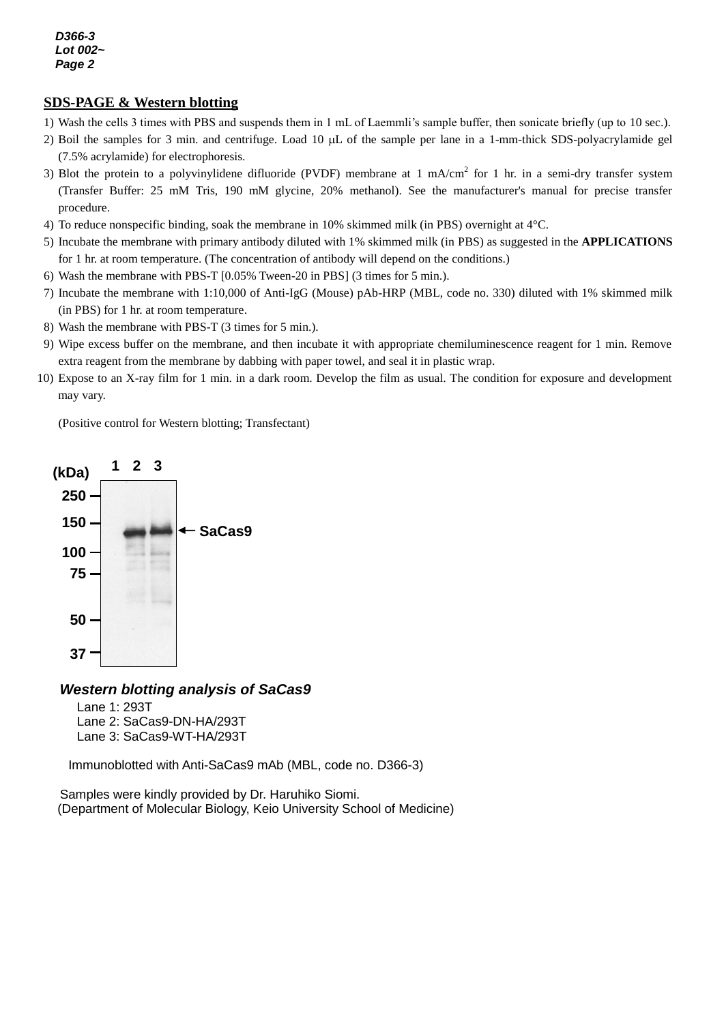#### **SDS-PAGE & Western blotting**

- 1) Wash the cells 3 times with PBS and suspends them in 1 mL of Laemmli's sample buffer, then sonicate briefly (up to 10 sec.).
- 2) Boil the samples for 3 min. and centrifuge. Load  $10 \mu L$  of the sample per lane in a 1-mm-thick SDS-polyacrylamide gel (7.5% acrylamide) for electrophoresis.
- 3) Blot the protein to a polyvinylidene difluoride (PVDF) membrane at 1 mA/cm<sup>2</sup> for 1 hr. in a semi-dry transfer system (Transfer Buffer: 25 mM Tris, 190 mM glycine, 20% methanol). See the manufacturer's manual for precise transfer procedure.
- 4) To reduce nonspecific binding, soak the membrane in 10% skimmed milk (in PBS) overnight at 4°C.
- 5) Incubate the membrane with primary antibody diluted with 1% skimmed milk (in PBS) as suggested in the **APPLICATIONS** for 1 hr. at room temperature. (The concentration of antibody will depend on the conditions.)
- 6) Wash the membrane with PBS-T [0.05% Tween-20 in PBS] (3 times for 5 min.).
- 7) Incubate the membrane with 1:10,000 of Anti-IgG (Mouse) pAb-HRP (MBL, code no. 330) diluted with 1% skimmed milk (in PBS) for 1 hr. at room temperature.
- 8) Wash the membrane with PBS-T (3 times for 5 min.).
- 9) Wipe excess buffer on the membrane, and then incubate it with appropriate chemiluminescence reagent for 1 min. Remove extra reagent from the membrane by dabbing with paper towel, and seal it in plastic wrap.
- 10) Expose to an X-ray film for 1 min. in a dark room. Develop the film as usual. The condition for exposure and development may vary.

(Positive control for Western blotting; Transfectant)



## *Western blotting analysis of SaCas9*

Lane 1: 293T Lane 2: SaCas9-DN-HA/293T Lane 3: SaCas9-WT-HA/293T

Immunoblotted with Anti-SaCas9 mAb (MBL, code no. D366-3)

Samples were kindly provided by Dr. Haruhiko Siomi. (Department of Molecular Biology, Keio University School of Medicine)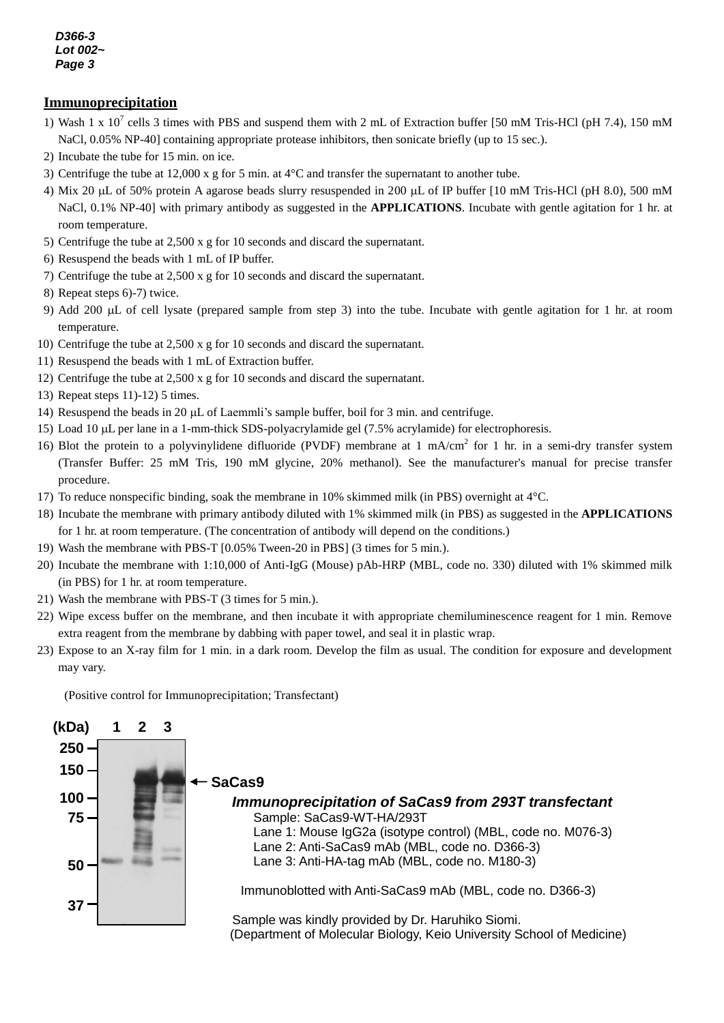*D366-3 Lot 002~ Page 3*

#### **Immunoprecipitation**

- 1) Wash 1 x  $10^7$  cells 3 times with PBS and suspend them with 2 mL of Extraction buffer [50 mM Tris-HCl (pH 7.4), 150 mM NaCl, 0.05% NP-40] containing appropriate protease inhibitors, then sonicate briefly (up to 15 sec.).
- 2) Incubate the tube for 15 min. on ice.
- 3) Centrifuge the tube at 12,000 x g for 5 min. at 4°C and transfer the supernatant to another tube.
- 4) Mix 20  $\mu$ L of 50% protein A agarose beads slurry resuspended in 200  $\mu$ L of IP buffer [10 mM Tris-HCl (pH 8.0), 500 mM NaCl, 0.1% NP-40] with primary antibody as suggested in the **APPLICATIONS**. Incubate with gentle agitation for 1 hr. at room temperature.
- 5) Centrifuge the tube at 2,500 x g for 10 seconds and discard the supernatant.
- 6) Resuspend the beads with 1 mL of IP buffer.
- 7) Centrifuge the tube at 2,500 x g for 10 seconds and discard the supernatant.
- 8) Repeat steps 6)-7) twice.
- 9) Add 200  $\mu$ L of cell lysate (prepared sample from step 3) into the tube. Incubate with gentle agitation for 1 hr. at room temperature.
- 10) Centrifuge the tube at 2,500 x g for 10 seconds and discard the supernatant.
- 11) Resuspend the beads with 1 mL of Extraction buffer.
- 12) Centrifuge the tube at 2,500 x g for 10 seconds and discard the supernatant.
- 13) Repeat steps 11)-12) 5 times.
- 14) Resuspend the beads in 20  $\mu$ L of Laemmli's sample buffer, boil for 3 min. and centrifuge.
- 15) Load 10 L per lane in a 1-mm-thick SDS-polyacrylamide gel (7.5% acrylamide) for electrophoresis.
- 16) Blot the protein to a polyvinylidene difluoride (PVDF) membrane at 1 mA/cm<sup>2</sup> for 1 hr. in a semi-dry transfer system (Transfer Buffer: 25 mM Tris, 190 mM glycine, 20% methanol). See the manufacturer's manual for precise transfer procedure.
- 17) To reduce nonspecific binding, soak the membrane in 10% skimmed milk (in PBS) overnight at 4°C.
- 18) Incubate the membrane with primary antibody diluted with 1% skimmed milk (in PBS) as suggested in the **APPLICATIONS** for 1 hr. at room temperature. (The concentration of antibody will depend on the conditions.)
- 19) Wash the membrane with PBS-T [0.05% Tween-20 in PBS] (3 times for 5 min.).
- 20) Incubate the membrane with 1:10,000 of Anti-IgG (Mouse) pAb-HRP (MBL, code no. 330) diluted with 1% skimmed milk (in PBS) for 1 hr. at room temperature.
- 21) Wash the membrane with PBS-T (3 times for 5 min.).
- 22) Wipe excess buffer on the membrane, and then incubate it with appropriate chemiluminescence reagent for 1 min. Remove extra reagent from the membrane by dabbing with paper towel, and seal it in plastic wrap.
- 23) Expose to an X-ray film for 1 min. in a dark room. Develop the film as usual. The condition for exposure and development may vary.

(Positive control for Immunoprecipitation; Transfectant)